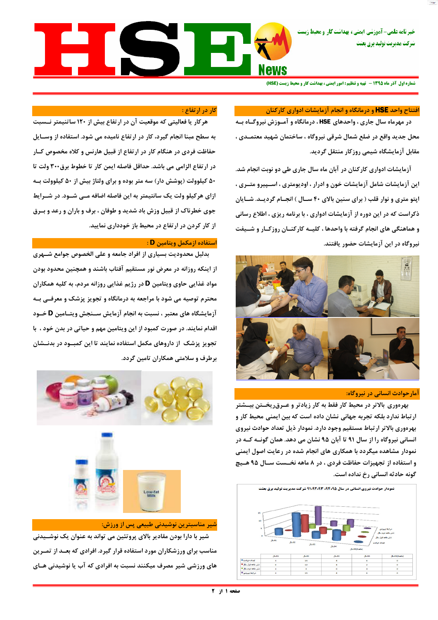خبر نامه علمی- آموزشی ایمنی، بهداشت کار و محیط زیس شركت مديريت توليد برق بعثت

# EISE

شماره اول آذر ماه 1395 - تهیه و تنظیم : امور ایمنی ، بهداشت کار و محیط زیست (HSE)

# افتتاح واحد HSE و درمانگاه و انجام آزمایشات ادواری کارکنان

در مهرماه سال جاری ، واحدهای HSE ، درمانگاه و آمـوزش نیروگـاه بــه محل جدید واقع در ضلع شمال شرقی نیروگاه ، ساختمان شهید معتمــدی ، مقابل آزمایشگاه شیمی روزکار منتقل گردید.

آزمایشات ادواری کارکنان در آبان ماه سال جاری طی دو نوبت انجام شد. این آزمایشات شامل آزمایشات خون و ادرار ، اودیومتری ، اســپیرو متــری ، اپتو متری و نوار قلب ( برای سنین بالای ۴۰ سـال ) انجـام گردیــد. شـایان ذکراست که در این دوره از آزمایشات ادواری ، با برنامه ریزی ، اطلاع رسانی و هماهنگی های انجام گرفته با واحدها ، کلیــه کارکنــان روزکــار و شــیفت نیروگاه در این آزمایشات حضور یافتند.



### آمارحوادث انسانی در نیروگاه:

بهرهوری بالاتر در محیط کار فقط به کار زیادتر و عــرقریخــتن بیــشتر ارتباط ندارد بلکه تجربه جهانی نشان داده است که بین ایمنی محیط کار و بهرهوري بالاتر ارتباط مستقيم وجود دارد. نمودار ذيل تعداد حوادث نيروى انسانی نیروگاه را از سال ۹۱ تا آبان ۹۵ نشان می دهد. همان گونــه کــه در نمودار مشاهده میگردد با همکاری های انجام شده در رعایت اصول ایمنی و استفاده از تجهیزات حفاظت فردی ، در ۸ ماهه نخــست ســال ۹۵ هــیچ

### کار در ارتفاع :

هرکار یا فعالیتی که موقعیت آن در ارتفاع بیش از ۱۲۰ ساتنیمتر نــسبت به سطح مبنا انجام گیرد، کار در ارتفاع نامیده می شود. استفاده از وســایل حفاظت فردی در هنگام کار در ارتفاع از قبیل هارنس و کلاه مخصوص کــار در ارتفاع الزامی می باشد. حداقل فاصله ایمن کار تا خطوط برق۳۰۰ ولت تا ۵۰ کیلوولت (پوشش دار) سه متر بوده و برای ولتاژ بیش از ۵۰ کیلوولت بــه ازای هرکیلو ولت یک سانتیمتر به این فاصله اضافه مــی شــود. در شــرایط جوی خطرناک از قبیل وزش باد شدید و طوفان ، برف و باران و رعد و بــرق از کار کردن در ارتفاع در محیط باز خودداری نمایید.

# استفاده ازمکمل ویتامین **D** :

بدلیل محدودیت بسیاری از افراد جامعه و علی الخصوص جوامع شــهری از اینکه روزانه در معرض نور مستقیم آفتاب باشند و همچنین محدود بودن مواد غذایی حاوی ویتامین **D** در رژیم غذایی روزانه مردم، به کلیه همکاران محترم توصیه می شود با مراجعه به درمانگاه و تجویز پزشک و معرفــی بــه آزمایشگاه های معتبر ، نسبت به انجام آزمایش ســنجش ویتــامین D خــود اقدام نمایند. در صورت کمبود از این ویتامین مهم و حیاتی در بدن خود ، با تجویز پزشک از داروهای مکمل استفاده نمایند تا این کمبـود در بدنــشان برطرف و سلامتی همکاران تامین گردد.





گونه حادثه انسانی رخ نداده است.



شیر مناسبترین نوشیدنی طبیعی پس از ورزش:

شیر با دارا بودن مقادیر بالای پروتئین می تواند به عنوان یک نوشــیدنی

مناسب برای ورزشکاران مورد استفاده قرار گیرد. افرادی که بعـد از تمـرین

های ورزشی شیر مصرف میکنند نسبت به افرادی که آب یا نوشیدنی هـای

صفحه ۱ از ۲